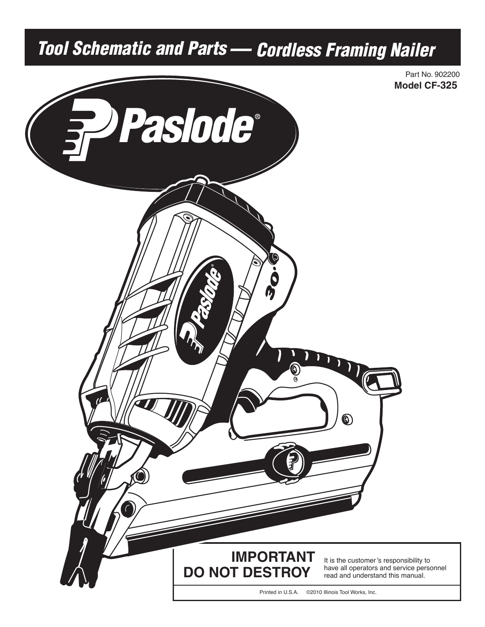## Tool Schematic and Parts — Cordless Framing Nailer

Part No. 902200 **Model CF-325**

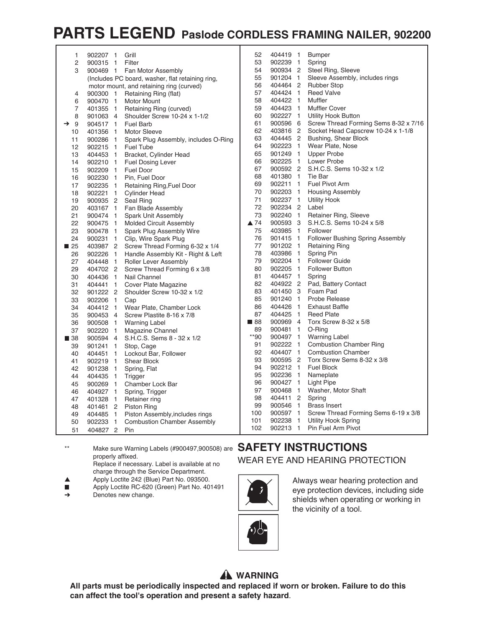## **PARTS LEGEND Paslode CORDLESS FRAMING NAILER, 902200**

| 1                  | 902207 1           | Grill                                            | 52                  | 404419 1 | <b>Bumper</b>                                  |
|--------------------|--------------------|--------------------------------------------------|---------------------|----------|------------------------------------------------|
| $\overline{2}$     | 900315 1           | Filter                                           | 53                  | 902239 1 | Spring                                         |
| 3                  |                    | 900469 1 Fan Motor Assembly                      | 54                  | 900934 2 | Steel Ring, Sleeve                             |
|                    |                    | (Includes PC board, washer, flat retaining ring, | 55                  | 901204 1 | Sleeve Assembly, includes rings                |
|                    |                    | motor mount, and retaining ring (curved)         | 56                  |          | 404464 2 Rubber Stop                           |
| 4                  |                    | 900300 1 Retaining Ring (flat)                   | 57                  | 404424 1 | <b>Reed Valve</b>                              |
| 6                  | 900470 1           | <b>Motor Mount</b>                               | 58                  | 404422 1 | Muffler                                        |
| 7                  | 401355 1           | Retaining Ring (curved)                          | 59                  | 404423 1 | Muffler Cover                                  |
| 8                  | 901063 4           | Shoulder Screw 10-24 x 1-1/2                     | 60                  | 902227 1 | <b>Utility Hook Button</b>                     |
| 9<br>$\rightarrow$ | 904517 1           | <b>Fuel Barb</b>                                 | 61                  |          | 900596 6 Screw Thread Forming Sems 8-32 x 7/16 |
| 10                 | 401356 1           | <b>Motor Sleeve</b>                              | 62                  | 403816 2 | Socket Head Capscrew 10-24 x 1-1/8             |
| 11                 | 900286 1           | Spark Plug Assembly, includes O-Ring             | 63                  | 404445 2 | Bushing, Shear Block                           |
| 12                 | 902215 1 Fuel Tube |                                                  | 64                  | 902223 1 | Wear Plate, Nose                               |
| 13                 | 404453 1           | Bracket, Cylinder Head                           | 65                  | 901249 1 | <b>Upper Probe</b>                             |
| 14                 | 902210 1           | <b>Fuel Dosing Lever</b>                         | 66                  | 902225 1 | Lower Probe                                    |
| 15                 | 902209 1           | Fuel Door                                        | 67                  |          | 900592 2 S.H.C.S. Sems 10-32 x 1/2             |
| 16                 | 902230 1           | Pin. Fuel Door                                   | 68                  | 401380 1 | Tie Bar                                        |
| 17                 | 902235 1           | Retaining Ring, Fuel Door                        | 69                  |          | 902211 1 Fuel Pivot Arm                        |
| 18                 | 902221 1           | <b>Cylinder Head</b>                             | 70                  | 902203 1 | <b>Housing Assembly</b>                        |
| 19                 | 900935 2 Seal Ring |                                                  | 71                  | 902237 1 | <b>Utility Hook</b>                            |
| 20                 | 403167 1           | Fan Blade Assembly                               | 72                  | 902234 2 | Label                                          |
| 21                 | 900474 1           | <b>Spark Unit Assembly</b>                       | 73                  | 902240 1 | Retainer Ring, Sleeve                          |
| 22                 | 900475 1           | <b>Molded Circuit Assembly</b>                   | $\blacktriangle$ 74 | 900593 3 | S.H.C.S. Sems 10-24 x 5/8                      |
| 23                 |                    | 900478 1 Spark Plug Assembly Wire                | 75                  | 403985 1 | Follower                                       |
| 24                 | 900231 1           | Clip, Wire Spark Plug                            | 76                  | 901415 1 | Follower Bushing Spring Assembly               |
| $\blacksquare$ 25  |                    | 403987 2 Screw Thread Forming 6-32 x 1/4         | 77                  | 901202 1 | <b>Retaining Ring</b>                          |
| 26                 | 902226 1           | Handle Assembly Kit - Right & Left               | 78                  | 403986 1 | Spring Pin                                     |
| 27                 |                    | 404448 1 Roller Lever Assembly                   | 79                  | 902204 1 | <b>Follower Guide</b>                          |
| 29                 |                    | 404702 2 Screw Thread Forming 6 x 3/8            | 80                  |          | 902205 1 Follower Button                       |
| 30                 | 404436 1           | Nail Channel                                     | 81                  | 404457 1 | Spring                                         |
| 31                 | 404441 1           | Cover Plate Magazine                             | 82                  |          | 404922 2 Pad, Battery Contact                  |
| 32                 | 901222 2           | Shoulder Screw 10-32 x 1/2                       | 83                  | 401450 3 | Foam Pad                                       |
| 33                 | 902206 1           | Cap                                              | 85                  | 901240 1 | Probe Release                                  |
| 34                 | 404412 1           | Wear Plate, Chamber Lock                         | 86                  | 404426 1 | <b>Exhaust Baffle</b>                          |
| 35                 | 900453 4           | Screw Plastite 8-16 x 7/8                        | 87                  | 404425 1 | <b>Reed Plate</b>                              |
| 36                 | 900508 1           | <b>Warning Label</b>                             | $\blacksquare$ 88   | 900969 4 | Torx Screw 8-32 x 5/8                          |
| 37                 | 902220 1           | <b>Magazine Channel</b>                          | 89                  | 900481 1 | O-Ring                                         |
| ■ 38               | 900594 4           | S.H.C.S. Sems 8 - 32 x 1/2                       | **90                | 900497 1 | <b>Warning Label</b>                           |
| 39                 | 901241 1           | Stop, Cage                                       | 91                  | 902222 1 | <b>Combustion Chamber Ring</b>                 |
| 40                 | 404451 1           | Lockout Bar, Follower                            | 92                  | 404407 1 | <b>Combustion Chamber</b>                      |
| 41                 | 902219 1           | <b>Shear Block</b>                               | 93                  | 900595 2 | Torx Screw Sems 8-32 x 3/8                     |
| 42                 | 901238 1           | Spring, Flat                                     | 94                  | 902212 1 | <b>Fuel Block</b>                              |
| 44                 | 404435 1           | Trigger                                          | 95                  | 902236 1 | Nameplate                                      |
| 45                 | 900269 1           | Chamber Lock Bar                                 | 96                  | 900427 1 | <b>Light Pipe</b>                              |
| 46                 | 404927 1           | Spring, Trigger                                  | 97                  | 900468 1 | Washer, Motor Shaft                            |
| 47                 | 401328 1           | Retainer ring                                    | 98                  | 404411 2 | Spring                                         |
| 48                 |                    | 401461 2 Piston Ring                             | 99                  | 900546 1 | <b>Brass Insert</b>                            |
| 49                 | 404485 1           | Piston Assembly, includes rings                  | 100                 | 900597 1 | Screw Thread Forming Sems 6-19 x 3/8           |
| 50                 | 902233 1           | <b>Combustion Chamber Assembly</b>               | 101                 | 902238 1 | <b>Utility Hook Spring</b>                     |
| 51                 | 404827 2           | Pin                                              | 102                 | 902213 1 | Pin Fuel Arm Pivot                             |
|                    |                    |                                                  |                     |          |                                                |

\*\* Make sure Warning Labels (#900497,900508) are **SAFETY INSTRUCTIONS** properly affixed. Replace if necessary. Label is available at no

- charge through the Service Department.
- Apply Loctite 242 (Blue) Part No. 093500.  $\blacktriangle$
- $\blacksquare$ Apply Loctite RC-620 (Green) Part No. 401491
- $\rightarrow$ Denotes new change.

## WEAR EYE AND HEARING PROTECTION



Always wear hearing protection and eye protection devices, including side shields when operating or working in the vicinity of a tool.



**All parts must be periodically inspected and replaced if worn or broken. Failure to do this can affect the tool's operation and present a safety hazard**.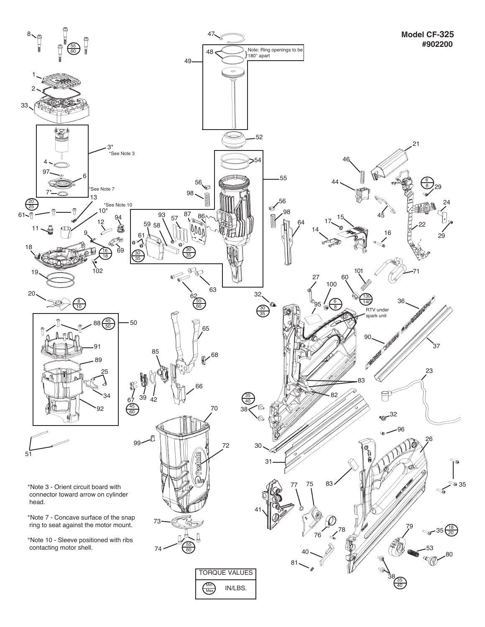